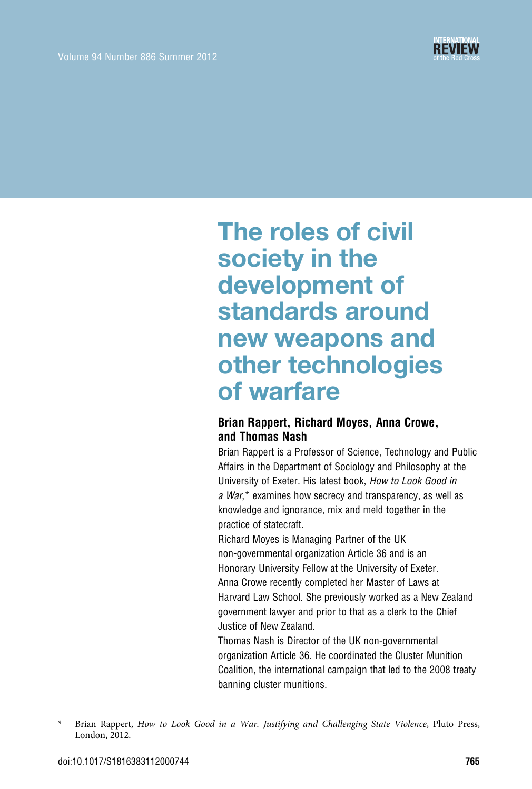# The roles of civil society in the development of standards around new weapons and other technologies of warfare

## Brian Rappert, Richard Moyes, Anna Crowe, and Thomas Nash

Brian Rappert is a Professor of Science, Technology and Public Affairs in the Department of Sociology and Philosophy at the University of Exeter. His latest book, How to Look Good in a War,\* examines how secrecy and transparency, as well as knowledge and ignorance, mix and meld together in the practice of statecraft.

Richard Moyes is Managing Partner of the UK non-governmental organization Article 36 and is an Honorary University Fellow at the University of Exeter. Anna Crowe recently completed her Master of Laws at Harvard Law School. She previously worked as a New Zealand government lawyer and prior to that as a clerk to the Chief Justice of New Zealand.

Thomas Nash is Director of the UK non-governmental organization Article 36. He coordinated the Cluster Munition Coalition, the international campaign that led to the 2008 treaty banning cluster munitions.

Brian Rappert, How to Look Good in a War. Justifying and Challenging State Violence, Pluto Press, London, 2012.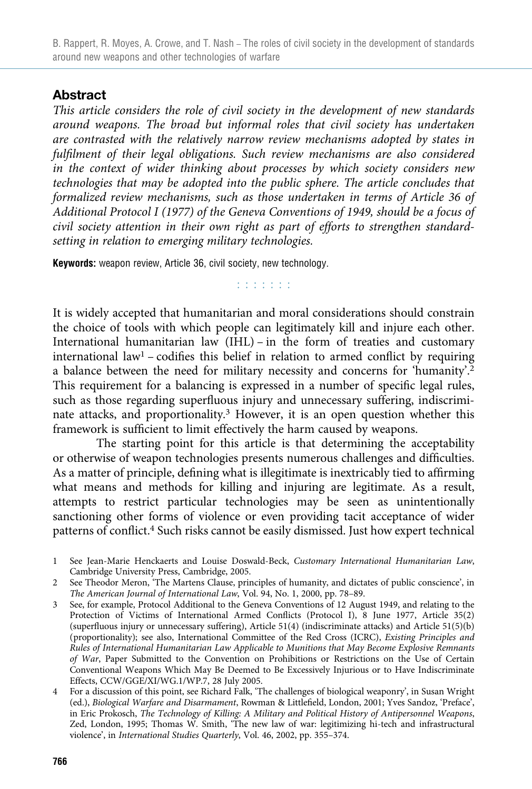B. Rappert, R. Moyes, A. Crowe, and T. Nash – The roles of civil society in the development of standards around new weapons and other technologies of warfare

#### Abstract

This article considers the role of civil society in the development of new standards around weapons. The broad but informal roles that civil society has undertaken are contrasted with the relatively narrow review mechanisms adopted by states in fulfilment of their legal obligations. Such review mechanisms are also considered in the context of wider thinking about processes by which society considers new technologies that may be adopted into the public sphere. The article concludes that formalized review mechanisms, such as those undertaken in terms of Article 36 of Additional Protocol I (1977) of the Geneva Conventions of 1949, should be a focus of civil society attention in their own right as part of efforts to strengthen standardsetting in relation to emerging military technologies.

Keywords: weapon review, Article 36, civil society, new technology.

**EDITOR** 

It is widely accepted that humanitarian and moral considerations should constrain the choice of tools with which people can legitimately kill and injure each other. International humanitarian law (IHL) – in the form of treaties and customary international law<sup>1</sup> – codifies this belief in relation to armed conflict by requiring a balance between the need for military necessity and concerns for 'humanity'.<sup>2</sup> This requirement for a balancing is expressed in a number of specific legal rules, such as those regarding superfluous injury and unnecessary suffering, indiscriminate attacks, and proportionality.<sup>3</sup> However, it is an open question whether this framework is sufficient to limit effectively the harm caused by weapons.

The starting point for this article is that determining the acceptability or otherwise of weapon technologies presents numerous challenges and difficulties. As a matter of principle, defining what is illegitimate is inextricably tied to affirming what means and methods for killing and injuring are legitimate. As a result, attempts to restrict particular technologies may be seen as unintentionally sanctioning other forms of violence or even providing tacit acceptance of wider patterns of conflict.<sup>4</sup> Such risks cannot be easily dismissed. Just how expert technical

- 3 See, for example, Protocol Additional to the Geneva Conventions of 12 August 1949, and relating to the Protection of Victims of International Armed Conflicts (Protocol I), 8 June 1977, Article 35(2) (superfluous injury or unnecessary suffering), Article 51(4) (indiscriminate attacks) and Article 51(5)(b) (proportionality); see also, International Committee of the Red Cross (ICRC), Existing Principles and Rules of International Humanitarian Law Applicable to Munitions that May Become Explosive Remnants of War, Paper Submitted to the Convention on Prohibitions or Restrictions on the Use of Certain Conventional Weapons Which May Be Deemed to Be Excessively Injurious or to Have Indiscriminate Effects, CCW/GGE/XI/WG.1/WP.7, 28 July 2005.
- 4 For a discussion of this point, see Richard Falk, 'The challenges of biological weaponry', in Susan Wright (ed.), Biological Warfare and Disarmament, Rowman & Littlefield, London, 2001; Yves Sandoz, 'Preface', in Eric Prokosch, The Technology of Killing: A Military and Political History of Antipersonnel Weapons, Zed, London, 1995; Thomas W. Smith, 'The new law of war: legitimizing hi-tech and infrastructural violence', in International Studies Quarterly, Vol. 46, 2002, pp. 355–374.

<sup>1</sup> See Jean-Marie Henckaerts and Louise Doswald-Beck, Customary International Humanitarian Law, Cambridge University Press, Cambridge, 2005.

<sup>2</sup> See Theodor Meron, 'The Martens Clause, principles of humanity, and dictates of public conscience', in The American Journal of International Law, Vol. 94, No. 1, 2000, pp. 78–89.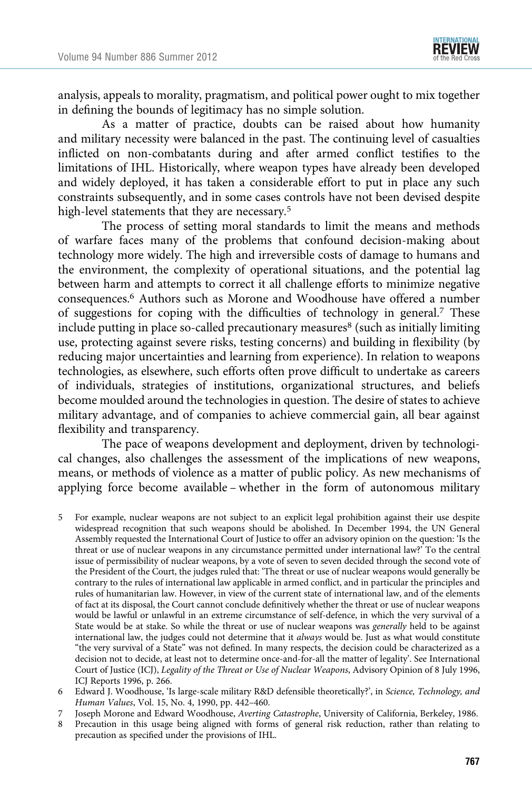analysis, appeals to morality, pragmatism, and political power ought to mix together in defining the bounds of legitimacy has no simple solution.

As a matter of practice, doubts can be raised about how humanity and military necessity were balanced in the past. The continuing level of casualties inflicted on non-combatants during and after armed conflict testifies to the limitations of IHL. Historically, where weapon types have already been developed and widely deployed, it has taken a considerable effort to put in place any such constraints subsequently, and in some cases controls have not been devised despite high-level statements that they are necessary.<sup>5</sup>

The process of setting moral standards to limit the means and methods of warfare faces many of the problems that confound decision-making about technology more widely. The high and irreversible costs of damage to humans and the environment, the complexity of operational situations, and the potential lag between harm and attempts to correct it all challenge efforts to minimize negative consequences.6 Authors such as Morone and Woodhouse have offered a number of suggestions for coping with the difficulties of technology in general.<sup>7</sup> These include putting in place so-called precautionary measures<sup>8</sup> (such as initially limiting use, protecting against severe risks, testing concerns) and building in flexibility (by reducing major uncertainties and learning from experience). In relation to weapons technologies, as elsewhere, such efforts often prove difficult to undertake as careers of individuals, strategies of institutions, organizational structures, and beliefs become moulded around the technologies in question. The desire of states to achieve military advantage, and of companies to achieve commercial gain, all bear against flexibility and transparency.

The pace of weapons development and deployment, driven by technological changes, also challenges the assessment of the implications of new weapons, means, or methods of violence as a matter of public policy. As new mechanisms of applying force become available – whether in the form of autonomous military

- 5 For example, nuclear weapons are not subject to an explicit legal prohibition against their use despite widespread recognition that such weapons should be abolished. In December 1994, the UN General Assembly requested the International Court of Justice to offer an advisory opinion on the question: 'Is the threat or use of nuclear weapons in any circumstance permitted under international law?' To the central issue of permissibility of nuclear weapons, by a vote of seven to seven decided through the second vote of the President of the Court, the judges ruled that: 'The threat or use of nuclear weapons would generally be contrary to the rules of international law applicable in armed conflict, and in particular the principles and rules of humanitarian law. However, in view of the current state of international law, and of the elements of fact at its disposal, the Court cannot conclude definitively whether the threat or use of nuclear weapons would be lawful or unlawful in an extreme circumstance of self-defence, in which the very survival of a State would be at stake. So while the threat or use of nuclear weapons was generally held to be against international law, the judges could not determine that it always would be. Just as what would constitute "the very survival of a State" was not defined. In many respects, the decision could be characterized as a decision not to decide, at least not to determine once-and-for-all the matter of legality'. See International Court of Justice (ICJ), Legality of the Threat or Use of Nuclear Weapons, Advisory Opinion of 8 July 1996, ICJ Reports 1996, p. 266.
- 6 Edward J. Woodhouse, 'Is large-scale military R&D defensible theoretically?', in Science, Technology, and Human Values, Vol. 15, No. 4, 1990, pp. 442–460.
- 7 Joseph Morone and Edward Woodhouse, Averting Catastrophe, University of California, Berkeley, 1986.
- 8 Precaution in this usage being aligned with forms of general risk reduction, rather than relating to precaution as specified under the provisions of IHL.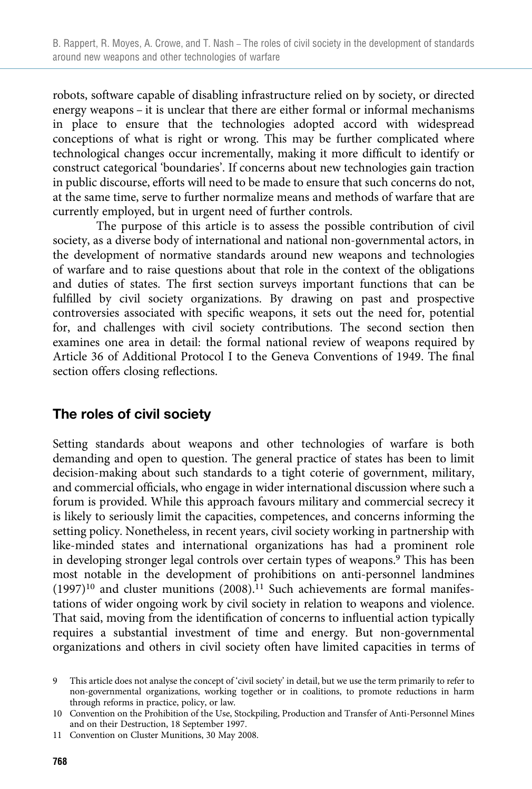robots, software capable of disabling infrastructure relied on by society, or directed energy weapons – it is unclear that there are either formal or informal mechanisms in place to ensure that the technologies adopted accord with widespread conceptions of what is right or wrong. This may be further complicated where technological changes occur incrementally, making it more difficult to identify or construct categorical 'boundaries'. If concerns about new technologies gain traction in public discourse, efforts will need to be made to ensure that such concerns do not, at the same time, serve to further normalize means and methods of warfare that are currently employed, but in urgent need of further controls.

The purpose of this article is to assess the possible contribution of civil society, as a diverse body of international and national non-governmental actors, in the development of normative standards around new weapons and technologies of warfare and to raise questions about that role in the context of the obligations and duties of states. The first section surveys important functions that can be fulfilled by civil society organizations. By drawing on past and prospective controversies associated with specific weapons, it sets out the need for, potential for, and challenges with civil society contributions. The second section then examines one area in detail: the formal national review of weapons required by Article 36 of Additional Protocol I to the Geneva Conventions of 1949. The final section offers closing reflections.

# The roles of civil society

Setting standards about weapons and other technologies of warfare is both demanding and open to question. The general practice of states has been to limit decision-making about such standards to a tight coterie of government, military, and commercial officials, who engage in wider international discussion where such a forum is provided. While this approach favours military and commercial secrecy it is likely to seriously limit the capacities, competences, and concerns informing the setting policy. Nonetheless, in recent years, civil society working in partnership with like-minded states and international organizations has had a prominent role in developing stronger legal controls over certain types of weapons.<sup>9</sup> This has been most notable in the development of prohibitions on anti-personnel landmines  $(1997)^{10}$  and cluster munitions  $(2008).^{11}$  Such achievements are formal manifestations of wider ongoing work by civil society in relation to weapons and violence. That said, moving from the identification of concerns to influential action typically requires a substantial investment of time and energy. But non-governmental organizations and others in civil society often have limited capacities in terms of

<sup>9</sup> This article does not analyse the concept of 'civil society' in detail, but we use the term primarily to refer to non-governmental organizations, working together or in coalitions, to promote reductions in harm through reforms in practice, policy, or law.

<sup>10</sup> Convention on the Prohibition of the Use, Stockpiling, Production and Transfer of Anti-Personnel Mines and on their Destruction, 18 September 1997.

<sup>11</sup> Convention on Cluster Munitions, 30 May 2008.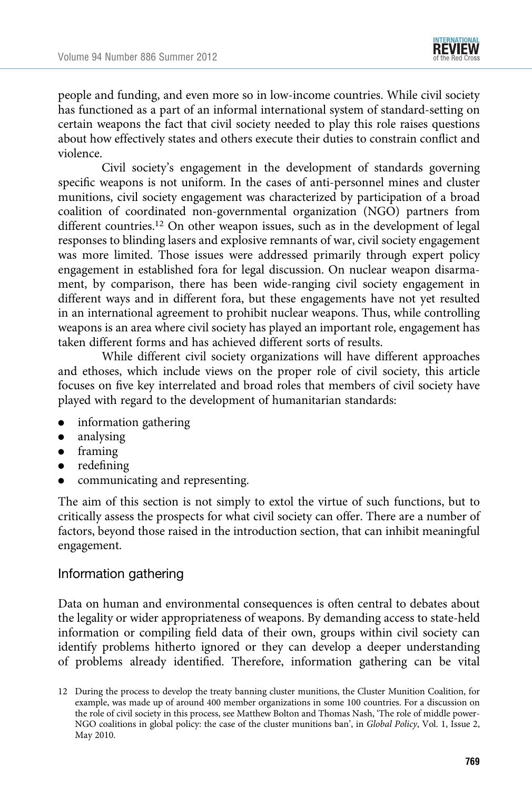people and funding, and even more so in low-income countries. While civil society has functioned as a part of an informal international system of standard-setting on certain weapons the fact that civil society needed to play this role raises questions about how effectively states and others execute their duties to constrain conflict and violence.

Civil society's engagement in the development of standards governing specific weapons is not uniform. In the cases of anti-personnel mines and cluster munitions, civil society engagement was characterized by participation of a broad coalition of coordinated non-governmental organization (NGO) partners from different countries.<sup>12</sup> On other weapon issues, such as in the development of legal responses to blinding lasers and explosive remnants of war, civil society engagement was more limited. Those issues were addressed primarily through expert policy engagement in established fora for legal discussion. On nuclear weapon disarmament, by comparison, there has been wide-ranging civil society engagement in different ways and in different fora, but these engagements have not yet resulted in an international agreement to prohibit nuclear weapons. Thus, while controlling weapons is an area where civil society has played an important role, engagement has taken different forms and has achieved different sorts of results.

While different civil society organizations will have different approaches and ethoses, which include views on the proper role of civil society, this article focuses on five key interrelated and broad roles that members of civil society have played with regard to the development of humanitarian standards:

- . information gathering
- . analysing
- . framing
- . redefining
- . communicating and representing.

The aim of this section is not simply to extol the virtue of such functions, but to critically assess the prospects for what civil society can offer. There are a number of factors, beyond those raised in the introduction section, that can inhibit meaningful engagement.

## Information gathering

Data on human and environmental consequences is often central to debates about the legality or wider appropriateness of weapons. By demanding access to state-held information or compiling field data of their own, groups within civil society can identify problems hitherto ignored or they can develop a deeper understanding of problems already identified. Therefore, information gathering can be vital

<sup>12</sup> During the process to develop the treaty banning cluster munitions, the Cluster Munition Coalition, for example, was made up of around 400 member organizations in some 100 countries. For a discussion on the role of civil society in this process, see Matthew Bolton and Thomas Nash, 'The role of middle power-NGO coalitions in global policy: the case of the cluster munitions ban', in Global Policy, Vol. 1, Issue 2, May 2010.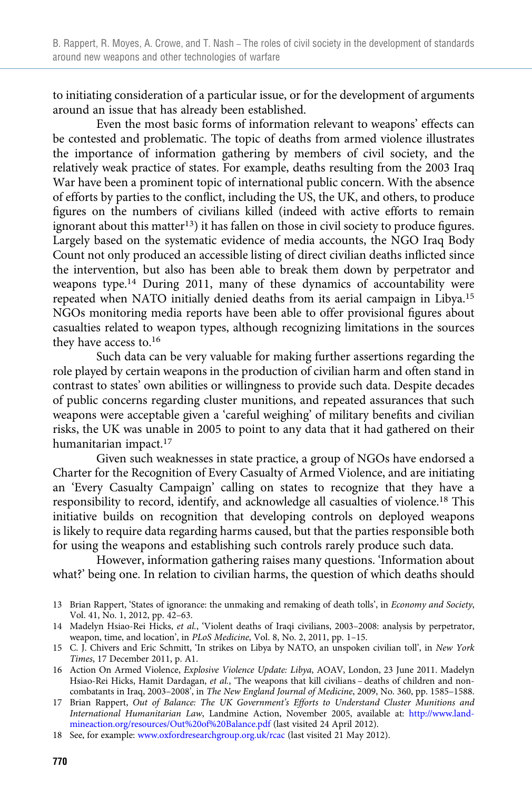to initiating consideration of a particular issue, or for the development of arguments around an issue that has already been established.

Even the most basic forms of information relevant to weapons' effects can be contested and problematic. The topic of deaths from armed violence illustrates the importance of information gathering by members of civil society, and the relatively weak practice of states. For example, deaths resulting from the 2003 Iraq War have been a prominent topic of international public concern. With the absence of efforts by parties to the conflict, including the US, the UK, and others, to produce figures on the numbers of civilians killed (indeed with active efforts to remain ignorant about this matter<sup>13</sup>) it has fallen on those in civil society to produce figures. Largely based on the systematic evidence of media accounts, the NGO Iraq Body Count not only produced an accessible listing of direct civilian deaths inflicted since the intervention, but also has been able to break them down by perpetrator and weapons type.<sup>14</sup> During 2011, many of these dynamics of accountability were repeated when NATO initially denied deaths from its aerial campaign in Libya.15 NGOs monitoring media reports have been able to offer provisional figures about casualties related to weapon types, although recognizing limitations in the sources they have access to.<sup>16</sup>

Such data can be very valuable for making further assertions regarding the role played by certain weapons in the production of civilian harm and often stand in contrast to states' own abilities or willingness to provide such data. Despite decades of public concerns regarding cluster munitions, and repeated assurances that such weapons were acceptable given a 'careful weighing' of military benefits and civilian risks, the UK was unable in 2005 to point to any data that it had gathered on their humanitarian impact.17

Given such weaknesses in state practice, a group of NGOs have endorsed a Charter for the Recognition of Every Casualty of Armed Violence, and are initiating an 'Every Casualty Campaign' calling on states to recognize that they have a responsibility to record, identify, and acknowledge all casualties of violence.18 This initiative builds on recognition that developing controls on deployed weapons is likely to require data regarding harms caused, but that the parties responsible both for using the weapons and establishing such controls rarely produce such data.

However, information gathering raises many questions. 'Information about what?' being one. In relation to civilian harms, the question of which deaths should

<sup>13</sup> Brian Rappert, 'States of ignorance: the unmaking and remaking of death tolls', in Economy and Society, Vol. 41, No. 1, 2012, pp. 42–63.

<sup>14</sup> Madelyn Hsiao-Rei Hicks, et al., 'Violent deaths of Iraqi civilians, 2003–2008: analysis by perpetrator, weapon, time, and location', in PLoS Medicine, Vol. 8, No. 2, 2011, pp. 1–15.

<sup>15</sup> C. J. Chivers and Eric Schmitt, 'In strikes on Libya by NATO, an unspoken civilian toll', in New York Times, 17 December 2011, p. A1.

<sup>16</sup> Action On Armed Violence, Explosive Violence Update: Libya, AOAV, London, 23 June 2011. Madelyn Hsiao-Rei Hicks, Hamit Dardagan, et al., 'The weapons that kill civilians - deaths of children and noncombatants in Iraq, 2003–2008', in The New England Journal of Medicine, 2009, No. 360, pp. 1585–1588.

<sup>17</sup> Brian Rappert, Out of Balance: The UK Government's Efforts to Understand Cluster Munitions and International Humanitarian Law, Landmine Action, November 2005, available at: [http://www.land](http://www.landmineaction.org/resources/Out%20of%20Balance.pdf)[mineaction.org/resources/Out%20of%20Balance.pdf](http://www.landmineaction.org/resources/Out%20of%20Balance.pdf) (last visited 24 April 2012).

<sup>18</sup> See, for example: [www.oxfordresearchgroup.org.uk/rcac](http://www.oxfordresearchgroup.org.uk/rcac) (last visited 21 May 2012).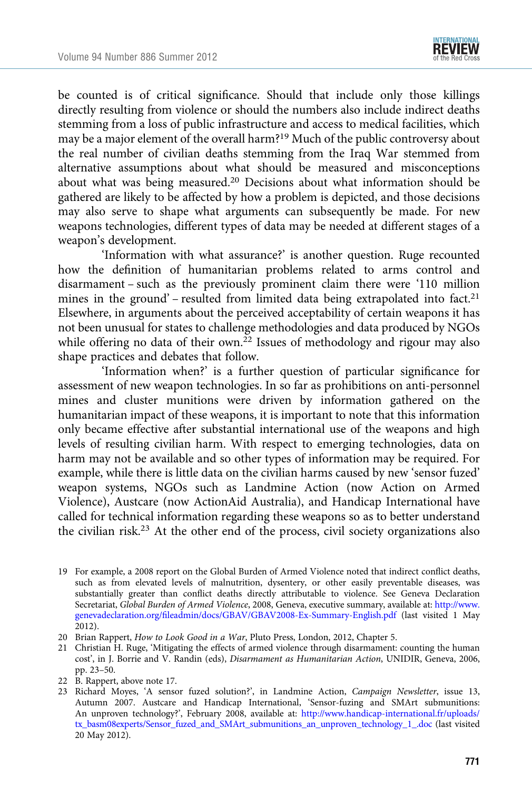be counted is of critical significance. Should that include only those killings directly resulting from violence or should the numbers also include indirect deaths stemming from a loss of public infrastructure and access to medical facilities, which may be a major element of the overall harm?19 Much of the public controversy about the real number of civilian deaths stemming from the Iraq War stemmed from alternative assumptions about what should be measured and misconceptions about what was being measured.<sup>20</sup> Decisions about what information should be gathered are likely to be affected by how a problem is depicted, and those decisions may also serve to shape what arguments can subsequently be made. For new weapons technologies, different types of data may be needed at different stages of a weapon's development.

'Information with what assurance?' is another question. Ruge recounted how the definition of humanitarian problems related to arms control and disarmament – such as the previously prominent claim there were '110 million mines in the ground' – resulted from limited data being extrapolated into fact.<sup>21</sup> Elsewhere, in arguments about the perceived acceptability of certain weapons it has not been unusual for states to challenge methodologies and data produced by NGOs while offering no data of their own.<sup>22</sup> Issues of methodology and rigour may also shape practices and debates that follow.

'Information when?' is a further question of particular significance for assessment of new weapon technologies. In so far as prohibitions on anti-personnel mines and cluster munitions were driven by information gathered on the humanitarian impact of these weapons, it is important to note that this information only became effective after substantial international use of the weapons and high levels of resulting civilian harm. With respect to emerging technologies, data on harm may not be available and so other types of information may be required. For example, while there is little data on the civilian harms caused by new 'sensor fuzed' weapon systems, NGOs such as Landmine Action (now Action on Armed Violence), Austcare (now ActionAid Australia), and Handicap International have called for technical information regarding these weapons so as to better understand the civilian risk.<sup>23</sup> At the other end of the process, civil society organizations also

22 B. Rappert, above note 17.

<sup>19</sup> For example, a 2008 report on the Global Burden of Armed Violence noted that indirect conflict deaths, such as from elevated levels of malnutrition, dysentery, or other easily preventable diseases, was substantially greater than conflict deaths directly attributable to violence. See Geneva Declaration Secretariat, Global Burden of Armed Violence, 2008, Geneva, executive summary, available at: [http://www.](http://www.genevadeclaration.org/fileadmin/docs/GBAV/GBAV2008-Ex-Summary-English.pdf) genevadeclaration.org/fi[leadmin/docs/GBAV/GBAV2008-Ex-Summary-English.pdf](http://www.genevadeclaration.org/fileadmin/docs/GBAV/GBAV2008-Ex-Summary-English.pdf) (last visited 1 May 2012).

<sup>20</sup> Brian Rappert, How to Look Good in a War, Pluto Press, London, 2012, Chapter 5.

<sup>21</sup> Christian H. Ruge, 'Mitigating the effects of armed violence through disarmament: counting the human cost', in J. Borrie and V. Randin (eds), Disarmament as Humanitarian Action, UNIDIR, Geneva, 2006, pp. 23–50.

<sup>23</sup> Richard Moyes, 'A sensor fuzed solution?', in Landmine Action, Campaign Newsletter, issue 13, Autumn 2007. Austcare and Handicap International, 'Sensor-fuzing and SMArt submunitions: An unproven technology?', February 2008, available at: [http://www.handicap-international.fr/uploads/](http://www.handicap-international.fr/uploads/tx_basm08experts/Sensor_fuzed_and_SMArt_submunitions_an_unproven_technology_1_doc) [tx\\_basm08experts/Sensor\\_fuzed\\_and\\_SMArt\\_submunitions\\_an\\_unproven\\_technology\\_1\\_.doc](http://www.handicap-international.fr/uploads/tx_basm08experts/Sensor_fuzed_and_SMArt_submunitions_an_unproven_technology_1_doc) (last visited 20 May 2012).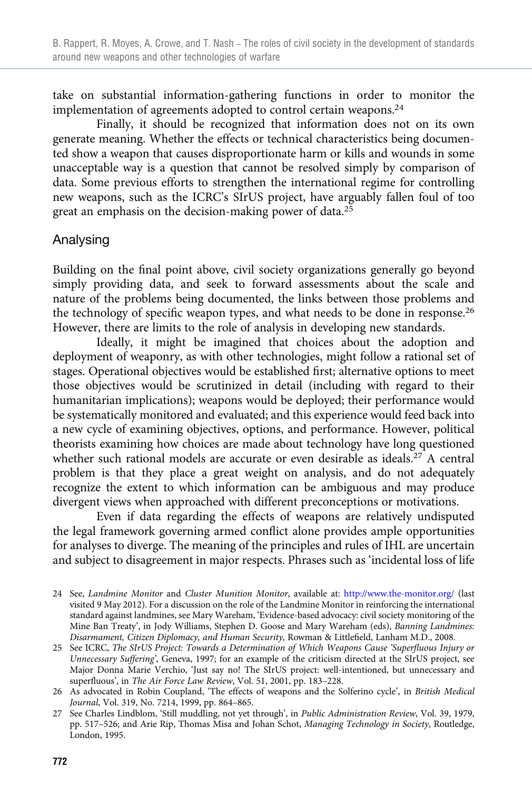take on substantial information-gathering functions in order to monitor the implementation of agreements adopted to control certain weapons.<sup>24</sup>

Finally, it should be recognized that information does not on its own generate meaning. Whether the effects or technical characteristics being documented show a weapon that causes disproportionate harm or kills and wounds in some unacceptable way is a question that cannot be resolved simply by comparison of data. Some previous efforts to strengthen the international regime for controlling new weapons, such as the ICRC's SIrUS project, have arguably fallen foul of too great an emphasis on the decision-making power of data.25

## Analysing

Building on the final point above, civil society organizations generally go beyond simply providing data, and seek to forward assessments about the scale and nature of the problems being documented, the links between those problems and the technology of specific weapon types, and what needs to be done in response.<sup>26</sup> However, there are limits to the role of analysis in developing new standards.

Ideally, it might be imagined that choices about the adoption and deployment of weaponry, as with other technologies, might follow a rational set of stages. Operational objectives would be established first; alternative options to meet those objectives would be scrutinized in detail (including with regard to their humanitarian implications); weapons would be deployed; their performance would be systematically monitored and evaluated; and this experience would feed back into a new cycle of examining objectives, options, and performance. However, political theorists examining how choices are made about technology have long questioned whether such rational models are accurate or even desirable as ideals.<sup>27</sup> A central problem is that they place a great weight on analysis, and do not adequately recognize the extent to which information can be ambiguous and may produce divergent views when approached with different preconceptions or motivations.

Even if data regarding the effects of weapons are relatively undisputed the legal framework governing armed conflict alone provides ample opportunities for analyses to diverge. The meaning of the principles and rules of IHL are uncertain and subject to disagreement in major respects. Phrases such as 'incidental loss of life

<sup>24</sup> See, Landmine Monitor and Cluster Munition Monitor, available at: <http://www.the-monitor.org/> (last visited 9 May 2012). For a discussion on the role of the Landmine Monitor in reinforcing the international standard against landmines, see Mary Wareham, 'Evidence-based advocacy: civil society monitoring of the Mine Ban Treaty', in Jody Williams, Stephen D. Goose and Mary Wareham (eds), Banning Landmines: Disarmament, Citizen Diplomacy, and Human Security, Rowman & Littlefield, Lanham M.D., 2008.

<sup>25</sup> See ICRC, The SIrUS Project: Towards a Determination of Which Weapons Cause 'Superfluous Injury or Unnecessary Suffering', Geneva, 1997; for an example of the criticism directed at the SIrUS project, see Major Donna Marie Verchio, 'Just say no! The SIrUS project: well-intentioned, but unnecessary and superfluous', in The Air Force Law Review, Vol. 51, 2001, pp. 183–228.

<sup>26</sup> As advocated in Robin Coupland, 'The effects of weapons and the Solferino cycle', in British Medical Journal, Vol. 319, No. 7214, 1999, pp. 864–865.

<sup>27</sup> See Charles Lindblom, 'Still muddling, not yet through', in Public Administration Review, Vol. 39, 1979, pp. 517–526; and Arie Rip, Thomas Misa and Johan Schot, Managing Technology in Society, Routledge, London, 1995.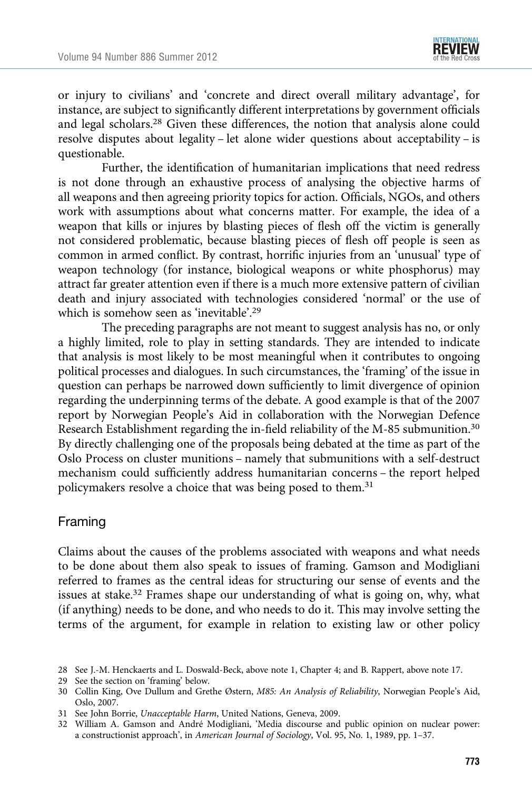or injury to civilians' and 'concrete and direct overall military advantage', for instance, are subject to significantly different interpretations by government officials and legal scholars.28 Given these differences, the notion that analysis alone could resolve disputes about legality – let alone wider questions about acceptability – is questionable.

Further, the identification of humanitarian implications that need redress is not done through an exhaustive process of analysing the objective harms of all weapons and then agreeing priority topics for action. Officials, NGOs, and others work with assumptions about what concerns matter. For example, the idea of a weapon that kills or injures by blasting pieces of flesh off the victim is generally not considered problematic, because blasting pieces of flesh off people is seen as common in armed conflict. By contrast, horrific injuries from an 'unusual' type of weapon technology (for instance, biological weapons or white phosphorus) may attract far greater attention even if there is a much more extensive pattern of civilian death and injury associated with technologies considered 'normal' or the use of which is somehow seen as 'inevitable'. 29

The preceding paragraphs are not meant to suggest analysis has no, or only a highly limited, role to play in setting standards. They are intended to indicate that analysis is most likely to be most meaningful when it contributes to ongoing political processes and dialogues. In such circumstances, the 'framing' of the issue in question can perhaps be narrowed down sufficiently to limit divergence of opinion regarding the underpinning terms of the debate. A good example is that of the 2007 report by Norwegian People's Aid in collaboration with the Norwegian Defence Research Establishment regarding the in-field reliability of the M-85 submunition.30 By directly challenging one of the proposals being debated at the time as part of the Oslo Process on cluster munitions – namely that submunitions with a self-destruct mechanism could sufficiently address humanitarian concerns – the report helped policymakers resolve a choice that was being posed to them.<sup>31</sup>

## Framing

Claims about the causes of the problems associated with weapons and what needs to be done about them also speak to issues of framing. Gamson and Modigliani referred to frames as the central ideas for structuring our sense of events and the issues at stake.32 Frames shape our understanding of what is going on, why, what (if anything) needs to be done, and who needs to do it. This may involve setting the terms of the argument, for example in relation to existing law or other policy

- 28 See J.-M. Henckaerts and L. Doswald-Beck, above note 1, Chapter 4; and B. Rappert, above note 17.
- 29 See the section on 'framing' below.
- 30 Collin King, Ove Dullum and Grethe Østern, M85: An Analysis of Reliability, Norwegian People's Aid, Oslo, 2007.
- 31 See John Borrie, Unacceptable Harm, United Nations, Geneva, 2009.

<sup>32</sup> William A. Gamson and André Modigliani, 'Media discourse and public opinion on nuclear power: a constructionist approach', in American Journal of Sociology, Vol. 95, No. 1, 1989, pp. 1–37.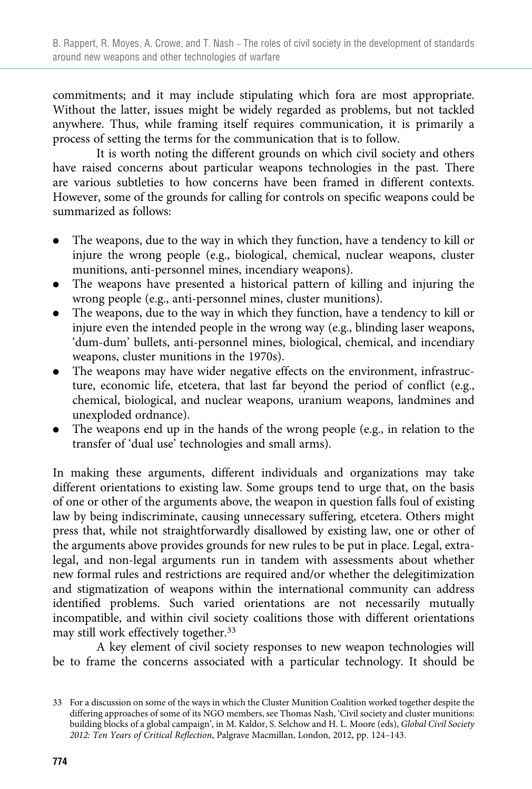commitments; and it may include stipulating which fora are most appropriate. Without the latter, issues might be widely regarded as problems, but not tackled anywhere. Thus, while framing itself requires communication, it is primarily a process of setting the terms for the communication that is to follow.

It is worth noting the different grounds on which civil society and others have raised concerns about particular weapons technologies in the past. There are various subtleties to how concerns have been framed in different contexts. However, some of the grounds for calling for controls on specific weapons could be summarized as follows:

- . The weapons, due to the way in which they function, have a tendency to kill or injure the wrong people (e.g., biological, chemical, nuclear weapons, cluster munitions, anti-personnel mines, incendiary weapons).
- . The weapons have presented a historical pattern of killing and injuring the wrong people (e.g., anti-personnel mines, cluster munitions).
- . The weapons, due to the way in which they function, have a tendency to kill or injure even the intended people in the wrong way (e.g., blinding laser weapons, 'dum-dum' bullets, anti-personnel mines, biological, chemical, and incendiary weapons, cluster munitions in the 1970s).
- . The weapons may have wider negative effects on the environment, infrastructure, economic life, etcetera, that last far beyond the period of conflict (e.g., chemical, biological, and nuclear weapons, uranium weapons, landmines and unexploded ordnance).
- . The weapons end up in the hands of the wrong people (e.g., in relation to the transfer of 'dual use' technologies and small arms).

In making these arguments, different individuals and organizations may take different orientations to existing law. Some groups tend to urge that, on the basis of one or other of the arguments above, the weapon in question falls foul of existing law by being indiscriminate, causing unnecessary suffering, etcetera. Others might press that, while not straightforwardly disallowed by existing law, one or other of the arguments above provides grounds for new rules to be put in place. Legal, extralegal, and non-legal arguments run in tandem with assessments about whether new formal rules and restrictions are required and/or whether the delegitimization and stigmatization of weapons within the international community can address identified problems. Such varied orientations are not necessarily mutually incompatible, and within civil society coalitions those with different orientations may still work effectively together.33

A key element of civil society responses to new weapon technologies will be to frame the concerns associated with a particular technology. It should be

<sup>33</sup> For a discussion on some of the ways in which the Cluster Munition Coalition worked together despite the differing approaches of some of its NGO members, see Thomas Nash, 'Civil society and cluster munitions: building blocks of a global campaign', in M. Kaldor, S. Selchow and H. L. Moore (eds), Global Civil Society 2012: Ten Years of Critical Reflection, Palgrave Macmillan, London, 2012, pp. 124–143.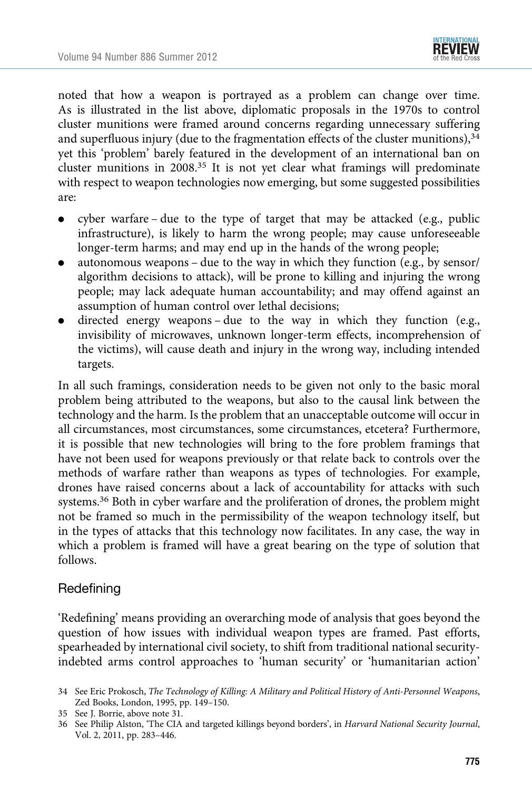noted that how a weapon is portrayed as a problem can change over time. As is illustrated in the list above, diplomatic proposals in the 1970s to control cluster munitions were framed around concerns regarding unnecessary suffering and superfluous injury (due to the fragmentation effects of the cluster munitions),  $34$ yet this 'problem' barely featured in the development of an international ban on cluster munitions in 2008.35 It is not yet clear what framings will predominate with respect to weapon technologies now emerging, but some suggested possibilities are:

- . cyber warfare due to the type of target that may be attacked (e.g., public infrastructure), is likely to harm the wrong people; may cause unforeseeable longer-term harms; and may end up in the hands of the wrong people;
- . autonomous weapons due to the way in which they function (e.g., by sensor/ algorithm decisions to attack), will be prone to killing and injuring the wrong people; may lack adequate human accountability; and may offend against an assumption of human control over lethal decisions;
- . directed energy weapons due to the way in which they function (e.g., invisibility of microwaves, unknown longer-term effects, incomprehension of the victims), will cause death and injury in the wrong way, including intended targets.

In all such framings, consideration needs to be given not only to the basic moral problem being attributed to the weapons, but also to the causal link between the technology and the harm. Is the problem that an unacceptable outcome will occur in all circumstances, most circumstances, some circumstances, etcetera? Furthermore, it is possible that new technologies will bring to the fore problem framings that have not been used for weapons previously or that relate back to controls over the methods of warfare rather than weapons as types of technologies. For example, drones have raised concerns about a lack of accountability for attacks with such systems.36 Both in cyber warfare and the proliferation of drones, the problem might not be framed so much in the permissibility of the weapon technology itself, but in the types of attacks that this technology now facilitates. In any case, the way in which a problem is framed will have a great bearing on the type of solution that follows.

# Redefining

'Redefining' means providing an overarching mode of analysis that goes beyond the question of how issues with individual weapon types are framed. Past efforts, spearheaded by international civil society, to shift from traditional national securityindebted arms control approaches to 'human security' or 'humanitarian action'

<sup>34</sup> See Eric Prokosch, The Technology of Killing: A Military and Political History of Anti-Personnel Weapons, Zed Books, London, 1995, pp. 149–150.

<sup>35</sup> See J. Borrie, above note 31.

<sup>36</sup> See Philip Alston, 'The CIA and targeted killings beyond borders', in Harvard National Security Journal, Vol. 2, 2011, pp. 283–446.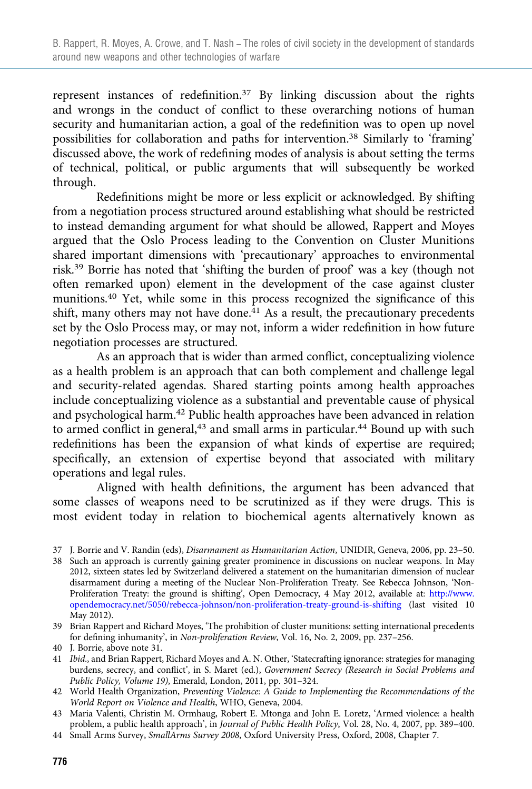represent instances of redefinition.37 By linking discussion about the rights and wrongs in the conduct of conflict to these overarching notions of human security and humanitarian action, a goal of the redefinition was to open up novel possibilities for collaboration and paths for intervention.38 Similarly to 'framing' discussed above, the work of redefining modes of analysis is about setting the terms of technical, political, or public arguments that will subsequently be worked through.

Redefinitions might be more or less explicit or acknowledged. By shifting from a negotiation process structured around establishing what should be restricted to instead demanding argument for what should be allowed, Rappert and Moyes argued that the Oslo Process leading to the Convention on Cluster Munitions shared important dimensions with 'precautionary' approaches to environmental risk.39 Borrie has noted that 'shifting the burden of proof' was a key (though not often remarked upon) element in the development of the case against cluster munitions.<sup>40</sup> Yet, while some in this process recognized the significance of this shift, many others may not have done. $41$  As a result, the precautionary precedents set by the Oslo Process may, or may not, inform a wider redefinition in how future negotiation processes are structured.

As an approach that is wider than armed conflict, conceptualizing violence as a health problem is an approach that can both complement and challenge legal and security-related agendas. Shared starting points among health approaches include conceptualizing violence as a substantial and preventable cause of physical and psychological harm.42 Public health approaches have been advanced in relation to armed conflict in general,<sup>43</sup> and small arms in particular.<sup>44</sup> Bound up with such redefinitions has been the expansion of what kinds of expertise are required; specifically, an extension of expertise beyond that associated with military operations and legal rules.

Aligned with health definitions, the argument has been advanced that some classes of weapons need to be scrutinized as if they were drugs. This is most evident today in relation to biochemical agents alternatively known as

<sup>37</sup> J. Borrie and V. Randin (eds), Disarmament as Humanitarian Action, UNIDIR, Geneva, 2006, pp. 23–50.

<sup>38</sup> Such an approach is currently gaining greater prominence in discussions on nuclear weapons. In May 2012, sixteen states led by Switzerland delivered a statement on the humanitarian dimension of nuclear disarmament during a meeting of the Nuclear Non-Proliferation Treaty. See Rebecca Johnson, 'Non-Proliferation Treaty: the ground is shifting', Open Democracy, 4 May 2012, available at: [http://www.](http://www.opendemocracy.net/5050/rebecca-johnson/non-proliferation-treaty-ground-is-shifting) [opendemocracy.net/5050/rebecca-johnson/non-proliferation-treaty-ground-is-shifting](http://www.opendemocracy.net/5050/rebecca-johnson/non-proliferation-treaty-ground-is-shifting) (last visited 10 May 2012).

<sup>39</sup> Brian Rappert and Richard Moyes, 'The prohibition of cluster munitions: setting international precedents for defining inhumanity', in Non-proliferation Review, Vol. 16, No. 2, 2009, pp. 237–256.

<sup>40</sup> J. Borrie, above note 31.

<sup>41</sup> Ibid., and Brian Rappert, Richard Moyes and A. N. Other, 'Statecrafting ignorance: strategies for managing burdens, secrecy, and conflict', in S. Maret (ed.), Government Secrecy (Research in Social Problems and Public Policy, Volume 19), Emerald, London, 2011, pp. 301–324.

<sup>42</sup> World Health Organization, Preventing Violence: A Guide to Implementing the Recommendations of the World Report on Violence and Health, WHO, Geneva, 2004.

<sup>43</sup> Maria Valenti, Christin M. Ormhaug, Robert E. Mtonga and John E. Loretz, 'Armed violence: a health problem, a public health approach', in Journal of Public Health Policy, Vol. 28, No. 4, 2007, pp. 389–400.

<sup>44</sup> Small Arms Survey, SmallArms Survey 2008, Oxford University Press, Oxford, 2008, Chapter 7.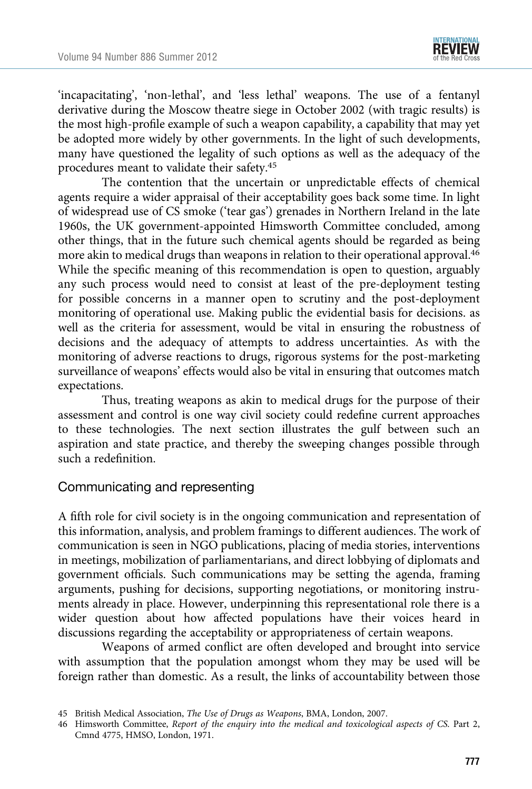'incapacitating', 'non-lethal', and 'less lethal' weapons. The use of a fentanyl derivative during the Moscow theatre siege in October 2002 (with tragic results) is the most high-profile example of such a weapon capability, a capability that may yet be adopted more widely by other governments. In the light of such developments, many have questioned the legality of such options as well as the adequacy of the procedures meant to validate their safety.45

The contention that the uncertain or unpredictable effects of chemical agents require a wider appraisal of their acceptability goes back some time. In light of widespread use of CS smoke ('tear gas') grenades in Northern Ireland in the late 1960s, the UK government-appointed Himsworth Committee concluded, among other things, that in the future such chemical agents should be regarded as being more akin to medical drugs than weapons in relation to their operational approval.46 While the specific meaning of this recommendation is open to question, arguably any such process would need to consist at least of the pre-deployment testing for possible concerns in a manner open to scrutiny and the post-deployment monitoring of operational use. Making public the evidential basis for decisions. as well as the criteria for assessment, would be vital in ensuring the robustness of decisions and the adequacy of attempts to address uncertainties. As with the monitoring of adverse reactions to drugs, rigorous systems for the post-marketing surveillance of weapons' effects would also be vital in ensuring that outcomes match expectations.

Thus, treating weapons as akin to medical drugs for the purpose of their assessment and control is one way civil society could redefine current approaches to these technologies. The next section illustrates the gulf between such an aspiration and state practice, and thereby the sweeping changes possible through such a redefinition.

## Communicating and representing

A fifth role for civil society is in the ongoing communication and representation of this information, analysis, and problem framings to different audiences. The work of communication is seen in NGO publications, placing of media stories, interventions in meetings, mobilization of parliamentarians, and direct lobbying of diplomats and government officials. Such communications may be setting the agenda, framing arguments, pushing for decisions, supporting negotiations, or monitoring instruments already in place. However, underpinning this representational role there is a wider question about how affected populations have their voices heard in discussions regarding the acceptability or appropriateness of certain weapons.

Weapons of armed conflict are often developed and brought into service with assumption that the population amongst whom they may be used will be foreign rather than domestic. As a result, the links of accountability between those

<sup>45</sup> British Medical Association, The Use of Drugs as Weapons, BMA, London, 2007.

<sup>46</sup> Himsworth Committee, Report of the enquiry into the medical and toxicological aspects of CS. Part 2, Cmnd 4775, HMSO, London, 1971.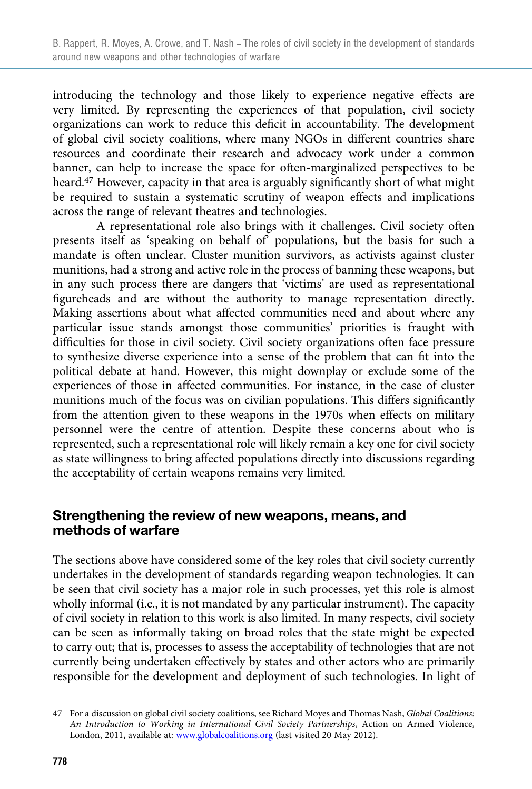introducing the technology and those likely to experience negative effects are very limited. By representing the experiences of that population, civil society organizations can work to reduce this deficit in accountability. The development of global civil society coalitions, where many NGOs in different countries share resources and coordinate their research and advocacy work under a common banner, can help to increase the space for often-marginalized perspectives to be heard.<sup>47</sup> However, capacity in that area is arguably significantly short of what might be required to sustain a systematic scrutiny of weapon effects and implications across the range of relevant theatres and technologies.

A representational role also brings with it challenges. Civil society often presents itself as 'speaking on behalf of' populations, but the basis for such a mandate is often unclear. Cluster munition survivors, as activists against cluster munitions, had a strong and active role in the process of banning these weapons, but in any such process there are dangers that 'victims' are used as representational figureheads and are without the authority to manage representation directly. Making assertions about what affected communities need and about where any particular issue stands amongst those communities' priorities is fraught with difficulties for those in civil society. Civil society organizations often face pressure to synthesize diverse experience into a sense of the problem that can fit into the political debate at hand. However, this might downplay or exclude some of the experiences of those in affected communities. For instance, in the case of cluster munitions much of the focus was on civilian populations. This differs significantly from the attention given to these weapons in the 1970s when effects on military personnel were the centre of attention. Despite these concerns about who is represented, such a representational role will likely remain a key one for civil society as state willingness to bring affected populations directly into discussions regarding the acceptability of certain weapons remains very limited.

## Strengthening the review of new weapons, means, and methods of warfare

The sections above have considered some of the key roles that civil society currently undertakes in the development of standards regarding weapon technologies. It can be seen that civil society has a major role in such processes, yet this role is almost wholly informal (i.e., it is not mandated by any particular instrument). The capacity of civil society in relation to this work is also limited. In many respects, civil society can be seen as informally taking on broad roles that the state might be expected to carry out; that is, processes to assess the acceptability of technologies that are not currently being undertaken effectively by states and other actors who are primarily responsible for the development and deployment of such technologies. In light of

<sup>47</sup> For a discussion on global civil society coalitions, see Richard Moyes and Thomas Nash, Global Coalitions: An Introduction to Working in International Civil Society Partnerships, Action on Armed Violence, London, 2011, available at: [www.globalcoalitions.org](http://www.globalcoalitions.org) (last visited 20 May 2012).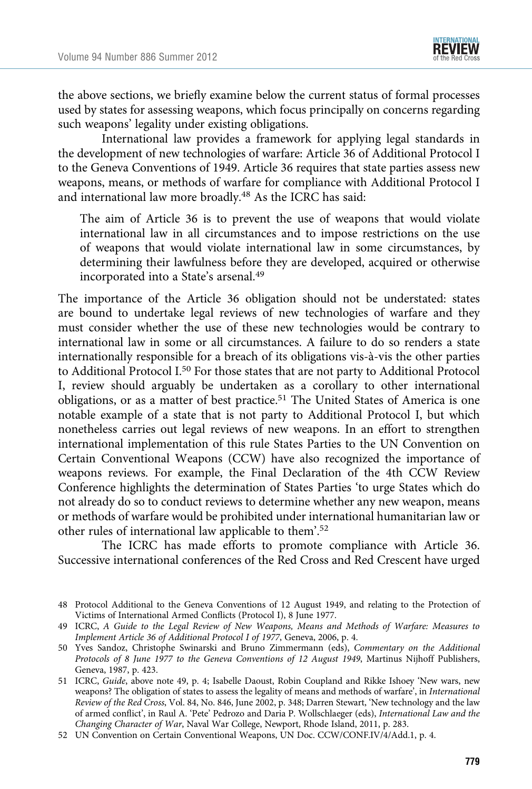

the above sections, we briefly examine below the current status of formal processes used by states for assessing weapons, which focus principally on concerns regarding such weapons' legality under existing obligations.

International law provides a framework for applying legal standards in the development of new technologies of warfare: Article 36 of Additional Protocol I to the Geneva Conventions of 1949. Article 36 requires that state parties assess new weapons, means, or methods of warfare for compliance with Additional Protocol I and international law more broadly.<sup>48</sup> As the ICRC has said:

The aim of Article 36 is to prevent the use of weapons that would violate international law in all circumstances and to impose restrictions on the use of weapons that would violate international law in some circumstances, by determining their lawfulness before they are developed, acquired or otherwise incorporated into a State's arsenal.<sup>49</sup>

The importance of the Article 36 obligation should not be understated: states are bound to undertake legal reviews of new technologies of warfare and they must consider whether the use of these new technologies would be contrary to international law in some or all circumstances. A failure to do so renders a state internationally responsible for a breach of its obligations vis-à-vis the other parties to Additional Protocol I.50 For those states that are not party to Additional Protocol I, review should arguably be undertaken as a corollary to other international obligations, or as a matter of best practice.<sup>51</sup> The United States of America is one notable example of a state that is not party to Additional Protocol I, but which nonetheless carries out legal reviews of new weapons. In an effort to strengthen international implementation of this rule States Parties to the UN Convention on Certain Conventional Weapons (CCW) have also recognized the importance of weapons reviews. For example, the Final Declaration of the 4th CCW Review Conference highlights the determination of States Parties 'to urge States which do not already do so to conduct reviews to determine whether any new weapon, means or methods of warfare would be prohibited under international humanitarian law or other rules of international law applicable to them'. 52

The ICRC has made efforts to promote compliance with Article 36. Successive international conferences of the Red Cross and Red Crescent have urged

52 UN Convention on Certain Conventional Weapons, UN Doc. CCW/CONF.IV/4/Add.1, p. 4.

<sup>48</sup> Protocol Additional to the Geneva Conventions of 12 August 1949, and relating to the Protection of Victims of International Armed Conflicts (Protocol I), 8 June 1977.

<sup>49</sup> ICRC, A Guide to the Legal Review of New Weapons, Means and Methods of Warfare: Measures to Implement Article 36 of Additional Protocol I of 1977, Geneva, 2006, p. 4.

<sup>50</sup> Yves Sandoz, Christophe Swinarski and Bruno Zimmermann (eds), Commentary on the Additional Protocols of 8 June 1977 to the Geneva Conventions of 12 August 1949, Martinus Nijhoff Publishers, Geneva, 1987, p. 423.

<sup>51</sup> ICRC, Guide, above note 49, p. 4; Isabelle Daoust, Robin Coupland and Rikke Ishoey 'New wars, new weapons? The obligation of states to assess the legality of means and methods of warfare', in International Review of the Red Cross, Vol. 84, No. 846, June 2002, p. 348; Darren Stewart, 'New technology and the law of armed conflict', in Raul A. 'Pete' Pedrozo and Daria P. Wollschlaeger (eds), International Law and the Changing Character of War, Naval War College, Newport, Rhode Island, 2011, p. 283.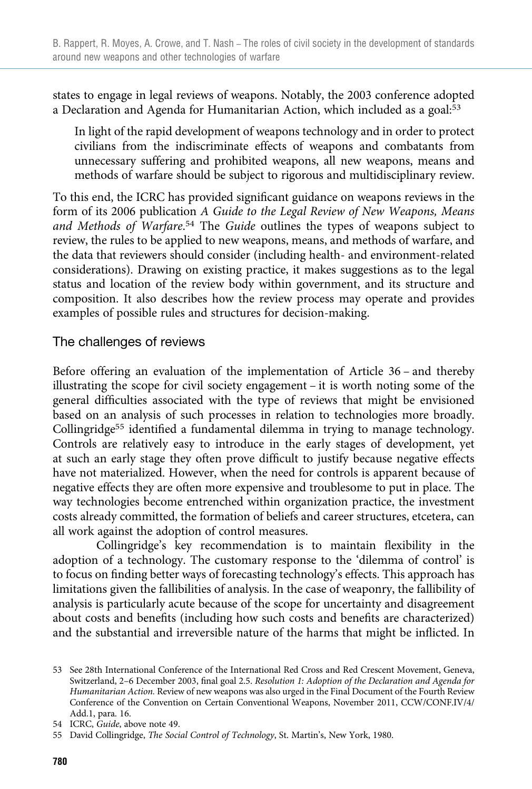states to engage in legal reviews of weapons. Notably, the 2003 conference adopted a Declaration and Agenda for Humanitarian Action, which included as a goal:<sup>53</sup>

In light of the rapid development of weapons technology and in order to protect civilians from the indiscriminate effects of weapons and combatants from unnecessary suffering and prohibited weapons, all new weapons, means and methods of warfare should be subject to rigorous and multidisciplinary review.

To this end, the ICRC has provided significant guidance on weapons reviews in the form of its 2006 publication A Guide to the Legal Review of New Weapons, Means and Methods of Warfare.<sup>54</sup> The Guide outlines the types of weapons subject to review, the rules to be applied to new weapons, means, and methods of warfare, and the data that reviewers should consider (including health- and environment-related considerations). Drawing on existing practice, it makes suggestions as to the legal status and location of the review body within government, and its structure and composition. It also describes how the review process may operate and provides examples of possible rules and structures for decision-making.

## The challenges of reviews

Before offering an evaluation of the implementation of Article 36 – and thereby illustrating the scope for civil society engagement – it is worth noting some of the general difficulties associated with the type of reviews that might be envisioned based on an analysis of such processes in relation to technologies more broadly. Collingridge55 identified a fundamental dilemma in trying to manage technology. Controls are relatively easy to introduce in the early stages of development, yet at such an early stage they often prove difficult to justify because negative effects have not materialized. However, when the need for controls is apparent because of negative effects they are often more expensive and troublesome to put in place. The way technologies become entrenched within organization practice, the investment costs already committed, the formation of beliefs and career structures, etcetera, can all work against the adoption of control measures.

Collingridge's key recommendation is to maintain flexibility in the adoption of a technology. The customary response to the 'dilemma of control' is to focus on finding better ways of forecasting technology's effects. This approach has limitations given the fallibilities of analysis. In the case of weaponry, the fallibility of analysis is particularly acute because of the scope for uncertainty and disagreement about costs and benefits (including how such costs and benefits are characterized) and the substantial and irreversible nature of the harms that might be inflicted. In

<sup>53</sup> See 28th International Conference of the International Red Cross and Red Crescent Movement, Geneva, Switzerland, 2–6 December 2003, final goal 2.5. Resolution 1: Adoption of the Declaration and Agenda for Humanitarian Action. Review of new weapons was also urged in the Final Document of the Fourth Review Conference of the Convention on Certain Conventional Weapons, November 2011, CCW/CONF.IV/4/ Add.1, para. 16.

<sup>54</sup> ICRC, Guide, above note 49.

<sup>55</sup> David Collingridge, The Social Control of Technology, St. Martin's, New York, 1980.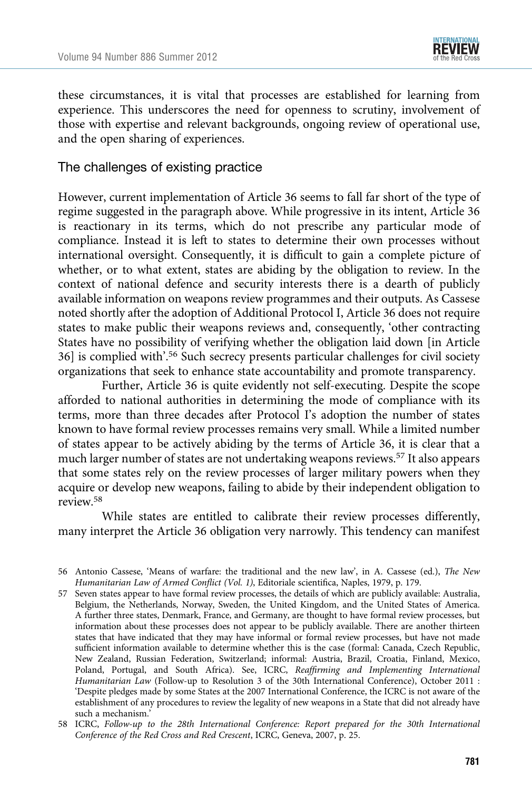

these circumstances, it is vital that processes are established for learning from experience. This underscores the need for openness to scrutiny, involvement of those with expertise and relevant backgrounds, ongoing review of operational use, and the open sharing of experiences.

#### The challenges of existing practice

However, current implementation of Article 36 seems to fall far short of the type of regime suggested in the paragraph above. While progressive in its intent, Article 36 is reactionary in its terms, which do not prescribe any particular mode of compliance. Instead it is left to states to determine their own processes without international oversight. Consequently, it is difficult to gain a complete picture of whether, or to what extent, states are abiding by the obligation to review. In the context of national defence and security interests there is a dearth of publicly available information on weapons review programmes and their outputs. As Cassese noted shortly after the adoption of Additional Protocol I, Article 36 does not require states to make public their weapons reviews and, consequently, 'other contracting States have no possibility of verifying whether the obligation laid down [in Article 36] is complied with'. <sup>56</sup> Such secrecy presents particular challenges for civil society organizations that seek to enhance state accountability and promote transparency.

Further, Article 36 is quite evidently not self-executing. Despite the scope afforded to national authorities in determining the mode of compliance with its terms, more than three decades after Protocol I's adoption the number of states known to have formal review processes remains very small. While a limited number of states appear to be actively abiding by the terms of Article 36, it is clear that a much larger number of states are not undertaking weapons reviews.57 It also appears that some states rely on the review processes of larger military powers when they acquire or develop new weapons, failing to abide by their independent obligation to review.58

While states are entitled to calibrate their review processes differently, many interpret the Article 36 obligation very narrowly. This tendency can manifest

<sup>56</sup> Antonio Cassese, 'Means of warfare: the traditional and the new law', in A. Cassese (ed.), The New Humanitarian Law of Armed Conflict (Vol. 1), Editoriale scientifica, Naples, 1979, p. 179.

<sup>57</sup> Seven states appear to have formal review processes, the details of which are publicly available: Australia, Belgium, the Netherlands, Norway, Sweden, the United Kingdom, and the United States of America. A further three states, Denmark, France, and Germany, are thought to have formal review processes, but information about these processes does not appear to be publicly available. There are another thirteen states that have indicated that they may have informal or formal review processes, but have not made sufficient information available to determine whether this is the case (formal: Canada, Czech Republic, New Zealand, Russian Federation, Switzerland; informal: Austria, Brazil, Croatia, Finland, Mexico, Poland, Portugal, and South Africa). See, ICRC, Reaffirming and Implementing International Humanitarian Law (Follow-up to Resolution 3 of the 30th International Conference), October 2011 : 'Despite pledges made by some States at the 2007 International Conference, the ICRC is not aware of the establishment of any procedures to review the legality of new weapons in a State that did not already have such a mechanism.'

<sup>58</sup> ICRC, Follow-up to the 28th International Conference: Report prepared for the 30th International Conference of the Red Cross and Red Crescent, ICRC, Geneva, 2007, p. 25.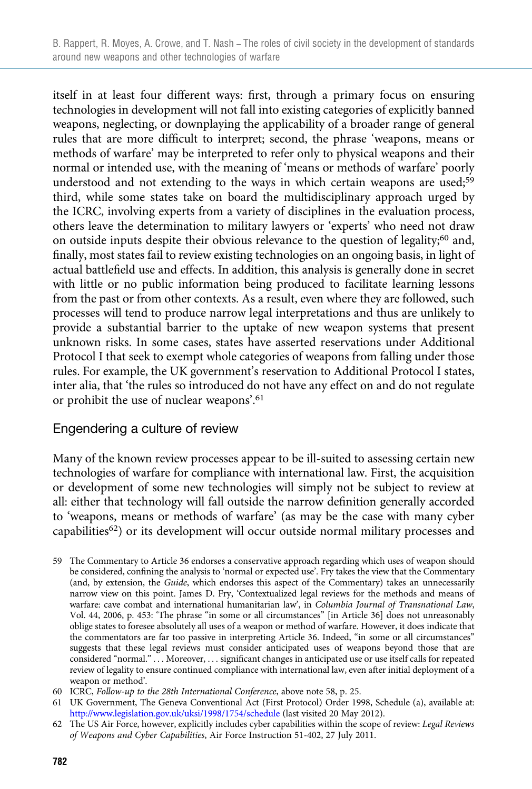itself in at least four different ways: first, through a primary focus on ensuring technologies in development will not fall into existing categories of explicitly banned weapons, neglecting, or downplaying the applicability of a broader range of general rules that are more difficult to interpret; second, the phrase 'weapons, means or methods of warfare' may be interpreted to refer only to physical weapons and their normal or intended use, with the meaning of 'means or methods of warfare' poorly understood and not extending to the ways in which certain weapons are used;<sup>59</sup> third, while some states take on board the multidisciplinary approach urged by the ICRC, involving experts from a variety of disciplines in the evaluation process, others leave the determination to military lawyers or 'experts' who need not draw on outside inputs despite their obvious relevance to the question of legality;<sup>60</sup> and, finally, most states fail to review existing technologies on an ongoing basis, in light of actual battlefield use and effects. In addition, this analysis is generally done in secret with little or no public information being produced to facilitate learning lessons from the past or from other contexts. As a result, even where they are followed, such processes will tend to produce narrow legal interpretations and thus are unlikely to provide a substantial barrier to the uptake of new weapon systems that present unknown risks. In some cases, states have asserted reservations under Additional Protocol I that seek to exempt whole categories of weapons from falling under those rules. For example, the UK government's reservation to Additional Protocol I states, inter alia, that 'the rules so introduced do not have any effect on and do not regulate or prohibit the use of nuclear weapons'. 61

## Engendering a culture of review

Many of the known review processes appear to be ill-suited to assessing certain new technologies of warfare for compliance with international law. First, the acquisition or development of some new technologies will simply not be subject to review at all: either that technology will fall outside the narrow definition generally accorded to 'weapons, means or methods of warfare' (as may be the case with many cyber capabilities62) or its development will occur outside normal military processes and

- 59 The Commentary to Article 36 endorses a conservative approach regarding which uses of weapon should be considered, confining the analysis to 'normal or expected use'. Fry takes the view that the Commentary (and, by extension, the Guide, which endorses this aspect of the Commentary) takes an unnecessarily narrow view on this point. James D. Fry, 'Contextualized legal reviews for the methods and means of warfare: cave combat and international humanitarian law', in Columbia Journal of Transnational Law, Vol. 44, 2006, p. 453: 'The phrase "in some or all circumstances" [in Article 36] does not unreasonably oblige states to foresee absolutely all uses of a weapon or method of warfare. However, it does indicate that the commentators are far too passive in interpreting Article 36. Indeed, "in some or all circumstances" suggests that these legal reviews must consider anticipated uses of weapons beyond those that are considered "normal." ... Moreover, ... significant changes in anticipated use or use itself calls for repeated review of legality to ensure continued compliance with international law, even after initial deployment of a weapon or method'.
- 60 ICRC, Follow-up to the 28th International Conference, above note 58, p. 25.
- 61 UK Government, The Geneva Conventional Act (First Protocol) Order 1998, Schedule (a), available at: <http://www.legislation.gov.uk/uksi/1998/1754/schedule> (last visited 20 May 2012).
- 62 The US Air Force, however, explicitly includes cyber capabilities within the scope of review: Legal Reviews of Weapons and Cyber Capabilities, Air Force Instruction 51-402, 27 July 2011.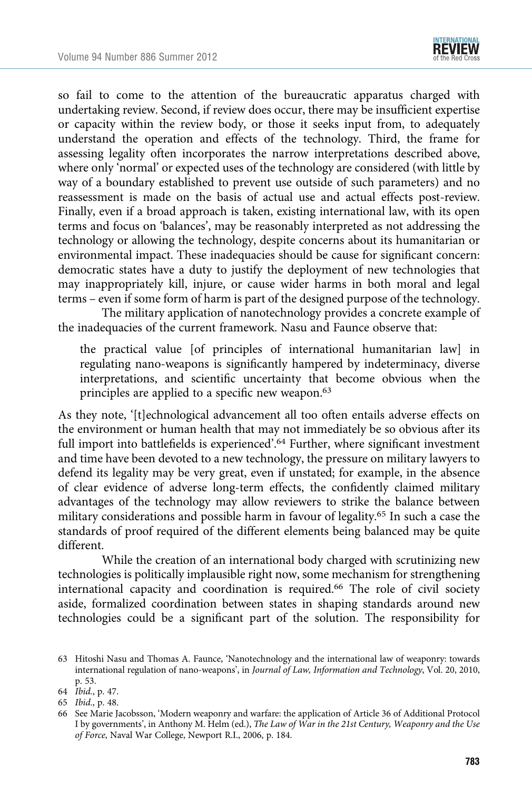so fail to come to the attention of the bureaucratic apparatus charged with undertaking review. Second, if review does occur, there may be insufficient expertise or capacity within the review body, or those it seeks input from, to adequately understand the operation and effects of the technology. Third, the frame for assessing legality often incorporates the narrow interpretations described above, where only 'normal' or expected uses of the technology are considered (with little by way of a boundary established to prevent use outside of such parameters) and no reassessment is made on the basis of actual use and actual effects post-review. Finally, even if a broad approach is taken, existing international law, with its open terms and focus on 'balances', may be reasonably interpreted as not addressing the technology or allowing the technology, despite concerns about its humanitarian or environmental impact. These inadequacies should be cause for significant concern: democratic states have a duty to justify the deployment of new technologies that may inappropriately kill, injure, or cause wider harms in both moral and legal terms – even if some form of harm is part of the designed purpose of the technology.

The military application of nanotechnology provides a concrete example of the inadequacies of the current framework. Nasu and Faunce observe that:

the practical value [of principles of international humanitarian law] in regulating nano-weapons is significantly hampered by indeterminacy, diverse interpretations, and scientific uncertainty that become obvious when the principles are applied to a specific new weapon.<sup>63</sup>

As they note, '[t]echnological advancement all too often entails adverse effects on the environment or human health that may not immediately be so obvious after its full import into battlefields is experienced'.<sup>64</sup> Further, where significant investment and time have been devoted to a new technology, the pressure on military lawyers to defend its legality may be very great, even if unstated; for example, in the absence of clear evidence of adverse long-term effects, the confidently claimed military advantages of the technology may allow reviewers to strike the balance between military considerations and possible harm in favour of legality.<sup>65</sup> In such a case the standards of proof required of the different elements being balanced may be quite different.

While the creation of an international body charged with scrutinizing new technologies is politically implausible right now, some mechanism for strengthening international capacity and coordination is required.66 The role of civil society aside, formalized coordination between states in shaping standards around new technologies could be a significant part of the solution. The responsibility for

<sup>63</sup> Hitoshi Nasu and Thomas A. Faunce, 'Nanotechnology and the international law of weaponry: towards international regulation of nano-weapons', in Journal of Law, Information and Technology, Vol. 20, 2010, p. 53.

<sup>64</sup> Ibid., p. 47.

<sup>65</sup> Ibid., p. 48.

<sup>66</sup> See Marie Jacobsson, 'Modern weaponry and warfare: the application of Article 36 of Additional Protocol I by governments', in Anthony M. Helm (ed.), The Law of War in the 21st Century, Weaponry and the Use of Force, Naval War College, Newport R.I., 2006, p. 184.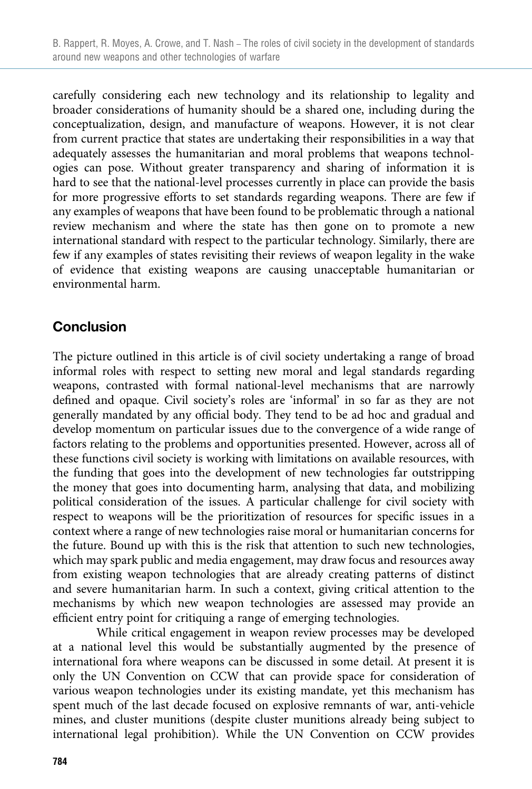carefully considering each new technology and its relationship to legality and broader considerations of humanity should be a shared one, including during the conceptualization, design, and manufacture of weapons. However, it is not clear from current practice that states are undertaking their responsibilities in a way that adequately assesses the humanitarian and moral problems that weapons technologies can pose. Without greater transparency and sharing of information it is hard to see that the national-level processes currently in place can provide the basis for more progressive efforts to set standards regarding weapons. There are few if any examples of weapons that have been found to be problematic through a national review mechanism and where the state has then gone on to promote a new international standard with respect to the particular technology. Similarly, there are few if any examples of states revisiting their reviews of weapon legality in the wake of evidence that existing weapons are causing unacceptable humanitarian or environmental harm.

# **Conclusion**

The picture outlined in this article is of civil society undertaking a range of broad informal roles with respect to setting new moral and legal standards regarding weapons, contrasted with formal national-level mechanisms that are narrowly defined and opaque. Civil society's roles are 'informal' in so far as they are not generally mandated by any official body. They tend to be ad hoc and gradual and develop momentum on particular issues due to the convergence of a wide range of factors relating to the problems and opportunities presented. However, across all of these functions civil society is working with limitations on available resources, with the funding that goes into the development of new technologies far outstripping the money that goes into documenting harm, analysing that data, and mobilizing political consideration of the issues. A particular challenge for civil society with respect to weapons will be the prioritization of resources for specific issues in a context where a range of new technologies raise moral or humanitarian concerns for the future. Bound up with this is the risk that attention to such new technologies, which may spark public and media engagement, may draw focus and resources away from existing weapon technologies that are already creating patterns of distinct and severe humanitarian harm. In such a context, giving critical attention to the mechanisms by which new weapon technologies are assessed may provide an efficient entry point for critiquing a range of emerging technologies.

While critical engagement in weapon review processes may be developed at a national level this would be substantially augmented by the presence of international fora where weapons can be discussed in some detail. At present it is only the UN Convention on CCW that can provide space for consideration of various weapon technologies under its existing mandate, yet this mechanism has spent much of the last decade focused on explosive remnants of war, anti-vehicle mines, and cluster munitions (despite cluster munitions already being subject to international legal prohibition). While the UN Convention on CCW provides